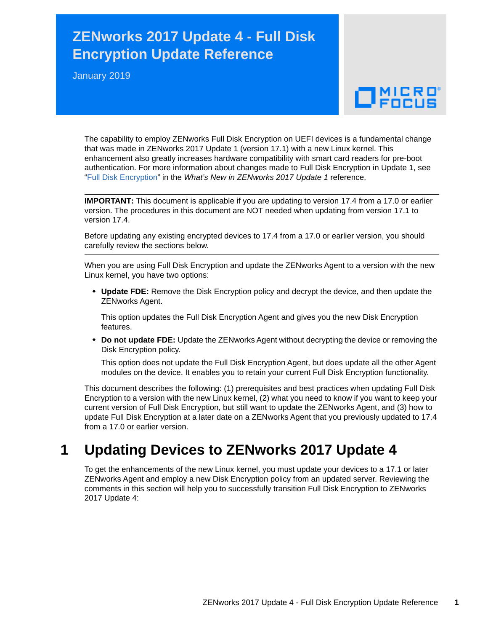# **ZENworks 2017 Update 4 - Full Disk Encryption Update Reference**

January 2019

# $\Box$ MICRO

The capability to employ ZENworks Full Disk Encryption on UEFI devices is a fundamental change that was made in ZENworks 2017 Update 1 (version 17.1) with a new Linux kernel. This enhancement also greatly increases hardware compatibility with smart card readers for pre-boot authentication. For more information about changes made to Full Disk Encryption in Update 1, see ["Full Disk Encryption"](https://www.novell.com/documentation/zenworks-2017-update-1/zen_whats_new/data/t434nw77zhsu.html#t434nw77zhsu) in the *What's New in ZENworks 2017 Update 1* reference.

**IMPORTANT:** This document is applicable if you are updating to version 17.4 from a 17.0 or earlier version. The procedures in this document are NOT needed when updating from version 17.1 to version 17.4.

Before updating any existing encrypted devices to 17.4 from a 17.0 or earlier version, you should carefully review the sections below.

When you are using Full Disk Encryption and update the ZENworks Agent to a version with the new Linux kernel, you have two options:

 **Update FDE:** Remove the Disk Encryption policy and decrypt the device, and then update the ZENworks Agent.

This option updates the Full Disk Encryption Agent and gives you the new Disk Encryption features.

 **Do not update FDE:** Update the ZENworks Agent without decrypting the device or removing the Disk Encryption policy.

This option does not update the Full Disk Encryption Agent, but does update all the other Agent modules on the device. It enables you to retain your current Full Disk Encryption functionality.

This document describes the following: (1) prerequisites and best practices when updating Full Disk Encryption to a version with the new Linux kernel, (2) what you need to know if you want to keep your current version of Full Disk Encryption, but still want to update the ZENworks Agent, and (3) how to update Full Disk Encryption at a later date on a ZENworks Agent that you previously updated to 17.4 from a 17.0 or earlier version.

### **1 Updating Devices to ZENworks 2017 Update 4**

To get the enhancements of the new Linux kernel, you must update your devices to a 17.1 or later ZENworks Agent and employ a new Disk Encryption policy from an updated server. Reviewing the comments in this section will help you to successfully transition Full Disk Encryption to ZENworks 2017 Update 4: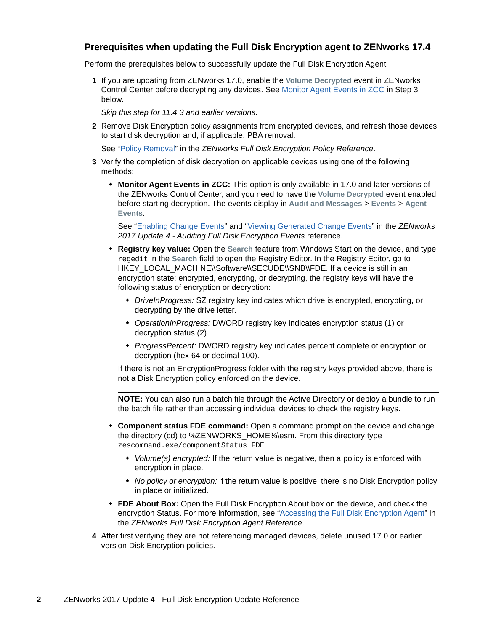#### **Prerequisites when updating the Full Disk Encryption agent to ZENworks 17.4**

Perform the prerequisites below to successfully update the Full Disk Encryption Agent:

**1** If you are updating from ZENworks 17.0, enable the **Volume Decrypted** event in ZENworks Control Center before decrypting any devices. See Monitor Agent Events in ZCC in Step 3 below.

*Skip this step for 11.4.3 and earlier versions*.

**2** Remove Disk Encryption policy assignments from encrypted devices, and refresh those devices to start disk decryption and, if applicable, PBA removal.

See "[Policy Removal"](https://www.novell.com/documentation/zenworks2017/pdfdoc/zen_fde_policies/zen_fde_policies.pdf#bpoav25) in the *ZENworks Full Disk Encryption Policy Reference*.

- **3** Verify the completion of disk decryption on applicable devices using one of the following methods:
	- **Monitor Agent Events in ZCC:** This option is only available in 17.0 and later versions of the ZENworks Control Center, and you need to have the **Volume Decrypted** event enabled before starting decryption. The events display in **Audit and Messages** > **Events** > **Agent Events**.

See "[Enabling Change Events"](https://www.novell.com/documentation/zenworks2017/pdfdoc/zen_fde_audit/zen_fde_audit.pdf#b1962dh1) and "[Viewing Generated Change Events"](https://www.novell.com/documentation/zenworks2017/pdfdoc/zen_fde_audit/zen_fde_audit.pdf#b1962dh7) in the *ZENworks 2017 Update 4 - Auditing Full Disk Encryption Events* reference.

- **Registry key value:** Open the **Search** feature from Windows Start on the device, and type regedit in the **Search** field to open the Registry Editor. In the Registry Editor, go to HKEY\_LOCAL\_MACHINE\\Software\\SECUDE\\SNB\\FDE. If a device is still in an encryption state: encrypted, encrypting, or decrypting, the registry keys will have the following status of encryption or decryption:
	- *DriveInProgress:* SZ registry key indicates which drive is encrypted, encrypting, or decrypting by the drive letter.
	- *OperationInProgress:* DWORD registry key indicates encryption status (1) or decryption status (2).
	- *ProgressPercent:* DWORD registry key indicates percent complete of encryption or decryption (hex 64 or decimal 100).

If there is not an EncryptionProgress folder with the registry keys provided above, there is not a Disk Encryption policy enforced on the device.

**NOTE:** You can also run a batch file through the Active Directory or deploy a bundle to run the batch file rather than accessing individual devices to check the registry keys.

- **Component status FDE command:** Open a command prompt on the device and change the directory (cd) to %ZENWORKS\_HOME%\esm. From this directory type zescommand.exe/componentStatus FDE
	- *Volume(s) encrypted:* If the return value is negative, then a policy is enforced with encryption in place.
	- *No policy or encryption:* If the return value is positive, there is no Disk Encryption policy in place or initialized.
- **FDE About Box:** Open the Full Disk Encryption About box on the device, and check the encryption Status. For more information, see ["Accessing the Full Disk Encryption Agent"](https://www.novell.com/documentation/zenworks2017/pdfdoc/zen_fde_agent/zen_fde_agent.pdf#t424d8qrs1x3) in the *ZENworks Full Disk Encryption Agent Reference*.
- <span id="page-1-0"></span>**4** After first verifying they are not referencing managed devices, delete unused 17.0 or earlier version Disk Encryption policies.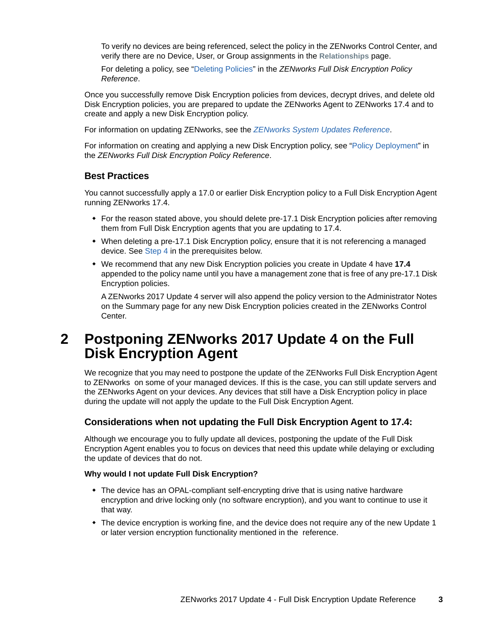To verify no devices are being referenced, select the policy in the ZENworks Control Center, and verify there are no Device, User, or Group assignments in the **Relationships** page.

For deleting a policy, see ["Deleting Policies](https://www.novell.com/documentation/zenworks2017/pdfdoc/zen_fde_policies/zen_fde_policies.pdf#bokpjf6)" in the *ZENworks Full Disk Encryption Policy Reference*.

Once you successfully remove Disk Encryption policies from devices, decrypt drives, and delete old Disk Encryption policies, you are prepared to update the ZENworks Agent to ZENworks 17.4 and to create and apply a new Disk Encryption policy.

For information on updating ZENworks, see the *[ZENworks System Updates Reference](https://www.novell.com/documentation/zenworks2017/pdfdoc/zen_sys_updates/zen_sys_updates.pdf#bookinfo)*.

For information on creating and applying a new Disk Encryption policy, see "[Policy Deployment"](https://www.novell.com/documentation/zenworks2017/pdfdoc/zen_fde_policies/zen_fde_policies.pdf#bnj4sa4) in the *ZENworks Full Disk Encryption Policy Reference*.

#### **Best Practices**

You cannot successfully apply a 17.0 or earlier Disk Encryption policy to a Full Disk Encryption Agent running ZENworks 17.4.

- For the reason stated above, you should delete pre-17.1 Disk Encryption policies after removing them from Full Disk Encryption agents that you are updating to 17.4.
- When deleting a pre-17.1 Disk Encryption policy, ensure that it is not referencing a managed device. See [Step 4](#page-1-0) in the prerequisites below.
- We recommend that any new Disk Encryption policies you create in Update 4 have **17.4**  appended to the policy name until you have a management zone that is free of any pre-17.1 Disk Encryption policies.

A ZENworks 2017 Update 4 server will also append the policy version to the Administrator Notes on the Summary page for any new Disk Encryption policies created in the ZENworks Control Center.

### **2 Postponing ZENworks 2017 Update 4 on the Full Disk Encryption Agent**

We recognize that you may need to postpone the update of the ZENworks Full Disk Encryption Agent to ZENworks on some of your managed devices. If this is the case, you can still update servers and the ZENworks Agent on your devices. Any devices that still have a Disk Encryption policy in place during the update will not apply the update to the Full Disk Encryption Agent.

#### **Considerations when not updating the Full Disk Encryption Agent to 17.4:**

Although we encourage you to fully update all devices, postponing the update of the Full Disk Encryption Agent enables you to focus on devices that need this update while delaying or excluding the update of devices that do not.

#### **Why would I not update Full Disk Encryption?**

- The device has an OPAL-compliant self-encrypting drive that is using native hardware encryption and drive locking only (no software encryption), and you want to continue to use it that way.
- The device encryption is working fine, and the device does not require any of the new Update 1 or later version encryption functionality mentioned in the reference.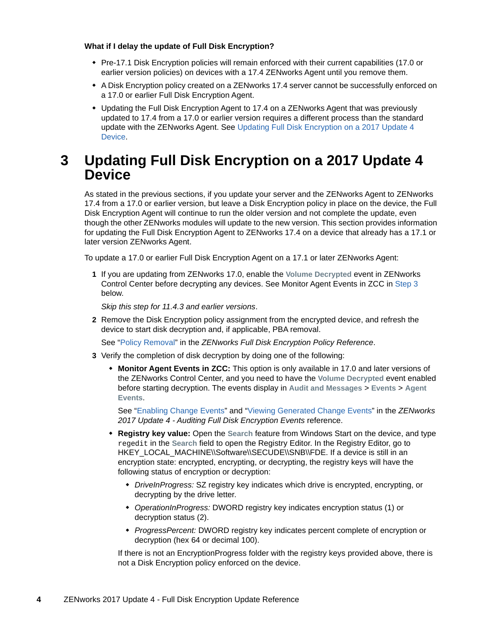#### **What if I delay the update of Full Disk Encryption?**

- Pre-17.1 Disk Encryption policies will remain enforced with their current capabilities (17.0 or earlier version policies) on devices with a 17.4 ZENworks Agent until you remove them.
- A Disk Encryption policy created on a ZENworks 17.4 server cannot be successfully enforced on a 17.0 or earlier Full Disk Encryption Agent.
- Updating the Full Disk Encryption Agent to 17.4 on a ZENworks Agent that was previously updated to 17.4 from a 17.0 or earlier version requires a different process than the standard update with the ZENworks Agent. See [Updating Full Disk Encryption on a 2017 Update 4](#page-3-1)  [Device.](#page-3-1)

### <span id="page-3-1"></span>**3 Updating Full Disk Encryption on a 2017 Update 4 Device**

As stated in the previous sections, if you update your server and the ZENworks Agent to ZENworks 17.4 from a 17.0 or earlier version, but leave a Disk Encryption policy in place on the device, the Full Disk Encryption Agent will continue to run the older version and not complete the update, even though the other ZENworks modules will update to the new version. This section provides information for updating the Full Disk Encryption Agent to ZENworks 17.4 on a device that already has a 17.1 or later version ZENworks Agent.

To update a 17.0 or earlier Full Disk Encryption Agent on a 17.1 or later ZENworks Agent:

**1** If you are updating from ZENworks 17.0, enable the **Volume Decrypted** event in ZENworks Control Center before decrypting any devices. See Monitor Agent Events in ZCC in [Step 3](#page-3-0) below.

*Skip this step for 11.4.3 and earlier versions*.

**2** Remove the Disk Encryption policy assignment from the encrypted device, and refresh the device to start disk decryption and, if applicable, PBA removal.

See "[Policy Removal"](https://www.novell.com/documentation/zenworks2017/pdfdoc/zen_fde_policies/zen_fde_policies.pdf#bpoav25) in the *ZENworks Full Disk Encryption Policy Reference*.

- <span id="page-3-0"></span>**3** Verify the completion of disk decryption by doing one of the following:
	- **Monitor Agent Events in ZCC:** This option is only available in 17.0 and later versions of the ZENworks Control Center, and you need to have the **Volume Decrypted** event enabled before starting decryption. The events display in **Audit and Messages** > **Events** > **Agent Events**.

See "[Enabling Change Events"](https://www.novell.com/documentation/zenworks2017/pdfdoc/zen_fde_audit/zen_fde_audit.pdf#b1962dh1) and "[Viewing Generated Change Events"](https://www.novell.com/documentation/zenworks2017/pdfdoc/zen_fde_audit/zen_fde_audit.pdf#b1962dh7) in the *ZENworks 2017 Update 4 - Auditing Full Disk Encryption Events* reference.

- **Registry key value:** Open the **Search** feature from Windows Start on the device, and type regedit in the **Search** field to open the Registry Editor. In the Registry Editor, go to HKEY\_LOCAL\_MACHINE\\Software\\SECUDE\\SNB\\FDE. If a device is still in an encryption state: encrypted, encrypting, or decrypting, the registry keys will have the following status of encryption or decryption:
	- *DriveInProgress:* SZ registry key indicates which drive is encrypted, encrypting, or decrypting by the drive letter.
	- *OperationInProgress:* DWORD registry key indicates encryption status (1) or decryption status (2).
	- *ProgressPercent:* DWORD registry key indicates percent complete of encryption or decryption (hex 64 or decimal 100).

If there is not an EncryptionProgress folder with the registry keys provided above, there is not a Disk Encryption policy enforced on the device.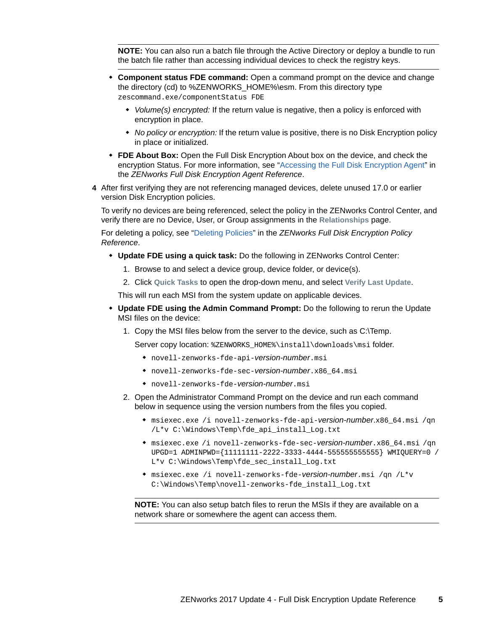**NOTE:** You can also run a batch file through the Active Directory or deploy a bundle to run the batch file rather than accessing individual devices to check the registry keys.

- **Component status FDE command:** Open a command prompt on the device and change the directory (cd) to %ZENWORKS\_HOME%\esm. From this directory type zescommand.exe/componentStatus FDE
	- *Volume(s) encrypted:* If the return value is negative, then a policy is enforced with encryption in place.
	- *No policy or encryption:* If the return value is positive, there is no Disk Encryption policy in place or initialized.
- **FDE About Box:** Open the Full Disk Encryption About box on the device, and check the encryption Status. For more information, see ["Accessing the Full Disk Encryption Agent"](https://www.novell.com/documentation/zenworks2017/pdfdoc/zen_fde_agent/zen_fde_agent.pdf#t424d8qrs1x3) in the *ZENworks Full Disk Encryption Agent Reference*.
- **4** After first verifying they are not referencing managed devices, delete unused 17.0 or earlier version Disk Encryption policies.

To verify no devices are being referenced, select the policy in the ZENworks Control Center, and verify there are no Device, User, or Group assignments in the **Relationships** page.

For deleting a policy, see ["Deleting Policies](https://www.novell.com/documentation/zenworks2017/pdfdoc/zen_fde_policies/zen_fde_policies.pdf#bokpjf6)" in the *ZENworks Full Disk Encryption Policy Reference*.

- **Update FDE using a quick task:** Do the following in ZENworks Control Center:
	- 1. Browse to and select a device group, device folder, or device(s).
	- 2. Click **Quick Tasks** to open the drop-down menu, and select **Verify Last Update**.

This will run each MSI from the system update on applicable devices.

- **Update FDE using the Admin Command Prompt:** Do the following to rerun the Update MSI files on the device:
	- 1. Copy the MSI files below from the server to the device, such as C:\Temp.

Server copy location: %ZENWORKS\_HOME%\install\downloads\msi folder.

- novell-zenworks-fde-api-*version-number*.msi
- novell-zenworks-fde-sec-*version-number*.x86\_64.msi
- novell-zenworks-fde-*version-number*.msi
- 2. Open the Administrator Command Prompt on the device and run each command below in sequence using the version numbers from the files you copied.
	- msiexec.exe /i novell-zenworks-fde-api-*version-number*.x86\_64.msi /qn /L\*v C:\Windows\Temp\fde\_api\_install\_Log.txt
	- msiexec.exe /i novell-zenworks-fde-sec-*version-number*.x86\_64.msi /qn UPGD=1 ADMINPWD={11111111-2222-3333-4444-555555555555} WMIQUERY=0 / L\*v C:\Windows\Temp\fde\_sec\_install\_Log.txt
	- msiexec.exe /i novell-zenworks-fde-*version-number*.msi /qn /L\*v C:\Windows\Temp\novell-zenworks-fde\_install\_Log.txt

**NOTE:** You can also setup batch files to rerun the MSIs if they are available on a network share or somewhere the agent can access them.